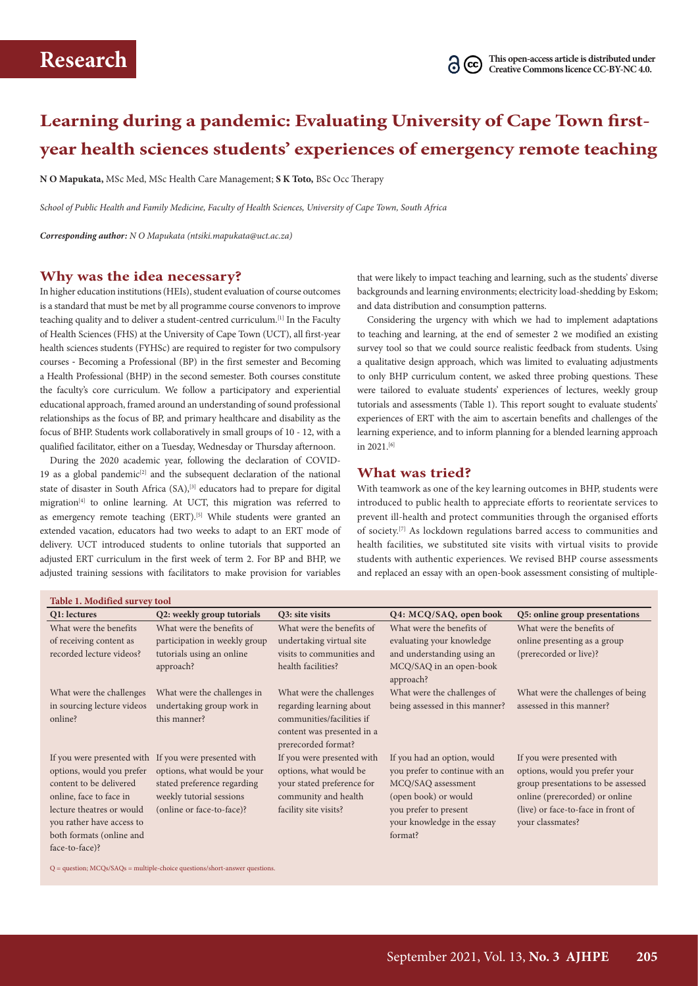**Table 1. Modified survey tool**

# **Learning during a pandemic: Evaluating University of Cape Town firstyear health sciences students' experiences of emergency remote teaching**

**N O Mapukata,** MSc Med, MSc Health Care Management; **S K Toto,** BSc Occ Therapy

*School of Public Health and Family Medicine, Faculty of Health Sciences, University of Cape Town, South Africa*

*Corresponding author: N O Mapukata [\(ntsiki.mapukata@uct.ac.za\)](mailto:ntsiki.mapukata@uct.ac.za)*

### **Why was the idea necessary?**

In higher education institutions (HEIs), student evaluation of course outcomes is a standard that must be met by all programme course convenors to improve teaching quality and to deliver a student-centred curriculum.[1] In the Faculty of Health Sciences (FHS) at the University of Cape Town (UCT), all first-year health sciences students (FYHSc) are required to register for two compulsory courses - Becoming a Professional (BP) in the first semester and Becoming a Health Professional (BHP) in the second semester. Both courses constitute the faculty's core curriculum. We follow a participatory and experiential educational approach, framed around an understanding of sound professional relationships as the focus of BP, and primary healthcare and disability as the focus of BHP. Students work collaboratively in small groups of 10 - 12, with a qualified facilitator, either on a Tuesday, Wednesday or Thursday afternoon.

During the 2020 academic year, following the declaration of COVID-19 as a global pandemic<sup>[2]</sup> and the subsequent declaration of the national state of disaster in South Africa (SA),<sup>[3]</sup> educators had to prepare for digital migration[4] to online learning. At UCT, this migration was referred to as emergency remote teaching (ERT).<sup>[5]</sup> While students were granted an extended vacation, educators had two weeks to adapt to an ERT mode of delivery. UCT introduced students to online tutorials that supported an adjusted ERT curriculum in the first week of term 2. For BP and BHP, we adjusted training sessions with facilitators to make provision for variables that were likely to impact teaching and learning, such as the students' diverse backgrounds and learning environments; electricity load-shedding by Eskom; and data distribution and consumption patterns.

Considering the urgency with which we had to implement adaptations to teaching and learning, at the end of semester 2 we modified an existing survey tool so that we could source realistic feedback from students. Using a qualitative design approach, which was limited to evaluating adjustments to only BHP curriculum content, we asked three probing questions. These were tailored to evaluate students' experiences of lectures, weekly group tutorials and assessments (Table 1). This report sought to evaluate students' experiences of ERT with the aim to ascertain benefits and challenges of the learning experience, and to inform planning for a blended learning approach in 2021.[6]

#### **What was tried?**

With teamwork as one of the key learning outcomes in BHP, students were introduced to public health to appreciate efforts to reorientate services to prevent ill-health and protect communities through the organised efforts of society.[7] As lockdown regulations barred access to communities and health facilities, we substituted site visits with virtual visits to provide students with authentic experiences. We revised BHP course assessments and replaced an essay with an open-book assessment consisting of multiple-

| Table 1. Modified survey tool                                                                                                                                                           |                                                                                                                                                                              |                                                                                                                                     |                                                                                                                                                                                |                                                                                                                                                                                                |
|-----------------------------------------------------------------------------------------------------------------------------------------------------------------------------------------|------------------------------------------------------------------------------------------------------------------------------------------------------------------------------|-------------------------------------------------------------------------------------------------------------------------------------|--------------------------------------------------------------------------------------------------------------------------------------------------------------------------------|------------------------------------------------------------------------------------------------------------------------------------------------------------------------------------------------|
| Q1: lectures                                                                                                                                                                            | Q2: weekly group tutorials                                                                                                                                                   | Q3: site visits                                                                                                                     | Q4: MCQ/SAQ, open book                                                                                                                                                         | Q5: online group presentations                                                                                                                                                                 |
| What were the benefits                                                                                                                                                                  | What were the benefits of                                                                                                                                                    | What were the benefits of                                                                                                           | What were the benefits of                                                                                                                                                      | What were the benefits of                                                                                                                                                                      |
| of receiving content as                                                                                                                                                                 | participation in weekly group                                                                                                                                                | undertaking virtual site                                                                                                            | evaluating your knowledge                                                                                                                                                      | online presenting as a group                                                                                                                                                                   |
| recorded lecture videos?                                                                                                                                                                | tutorials using an online                                                                                                                                                    | visits to communities and                                                                                                           | and understanding using an                                                                                                                                                     | (prerecorded or live)?                                                                                                                                                                         |
|                                                                                                                                                                                         | approach?                                                                                                                                                                    | health facilities?                                                                                                                  | MCQ/SAQ in an open-book<br>approach?                                                                                                                                           |                                                                                                                                                                                                |
| What were the challenges                                                                                                                                                                | What were the challenges in                                                                                                                                                  | What were the challenges                                                                                                            | What were the challenges of                                                                                                                                                    | What were the challenges of being                                                                                                                                                              |
| in sourcing lecture videos<br>online?                                                                                                                                                   | undertaking group work in<br>this manner?                                                                                                                                    | regarding learning about<br>communities/facilities if<br>content was presented in a<br>prerecorded format?                          | being assessed in this manner?                                                                                                                                                 | assessed in this manner?                                                                                                                                                                       |
| options, would you prefer<br>content to be delivered<br>online, face to face in<br>lecture theatres or would<br>you rather have access to<br>both formats (online and<br>face-to-face)? | If you were presented with If you were presented with<br>options, what would be your<br>stated preference regarding<br>weekly tutorial sessions<br>(online or face-to-face)? | If you were presented with<br>options, what would be<br>your stated preference for<br>community and health<br>facility site visits? | If you had an option, would<br>you prefer to continue with an<br>MCQ/SAQ assessment<br>(open book) or would<br>you prefer to present<br>your knowledge in the essay<br>format? | If you were presented with<br>options, would you prefer your<br>group presentations to be assessed<br>online (prerecorded) or online<br>(live) or face-to-face in front of<br>your classmates? |

 $Q =$  question;  $MCQs/SAQs =$  multiple-choice questions/short-answer questions.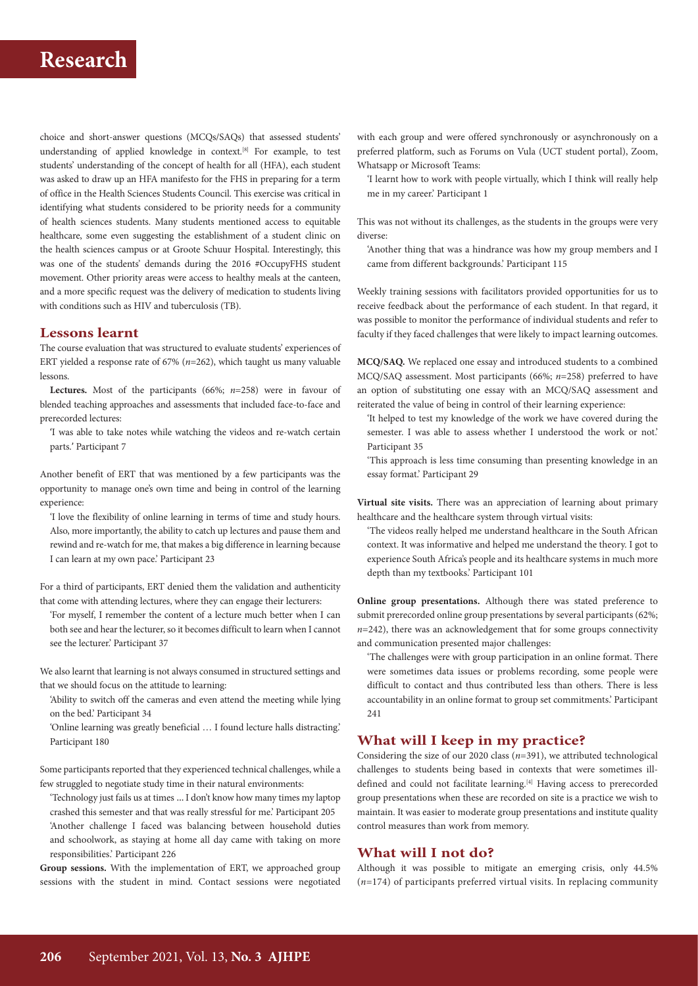# **Research**

choice and short-answer questions (MCQs/SAQs) that assessed students' understanding of applied knowledge in context.[8] For example, to test students' understanding of the concept of health for all (HFA), each student was asked to draw up an HFA manifesto for the FHS in preparing for a term of office in the Health Sciences Students Council. This exercise was critical in identifying what students considered to be priority needs for a community of health sciences students. Many students mentioned access to equitable healthcare, some even suggesting the establishment of a student clinic on the health sciences campus or at Groote Schuur Hospital. Interestingly, this was one of the students' demands during the 2016 #OccupyFHS student movement. Other priority areas were access to healthy meals at the canteen, and a more specific request was the delivery of medication to students living with conditions such as HIV and tuberculosis (TB).

### **Lessons learnt**

The course evaluation that was structured to evaluate students' experiences of ERT yielded a response rate of 67% (*n*=262), which taught us many valuable lessons.

**Lectures.** Most of the participants (66%; *n*=258) were in favour of blended teaching approaches and assessments that included face-to-face and prerecorded lectures:

'I was able to take notes while watching the videos and re-watch certain parts.' Participant 7

Another benefit of ERT that was mentioned by a few participants was the opportunity to manage one's own time and being in control of the learning experience:

'I love the flexibility of online learning in terms of time and study hours. Also, more importantly, the ability to catch up lectures and pause them and rewind and re-watch for me, that makes a big difference in learning because I can learn at my own pace.' Participant 23

For a third of participants, ERT denied them the validation and authenticity that come with attending lectures, where they can engage their lecturers:

'For myself, I remember the content of a lecture much better when I can both see and hear the lecturer, so it becomes difficult to learn when I cannot see the lecturer.' Participant 37

We also learnt that learning is not always consumed in structured settings and that we should focus on the attitude to learning:

'Ability to switch off the cameras and even attend the meeting while lying on the bed.' Participant 34

'Online learning was greatly beneficial … I found lecture halls distracting.' Participant 180

Some participants reported that they experienced technical challenges, while a few struggled to negotiate study time in their natural environments:

'Technology just fails us at times … I don't know how many times my laptop crashed this semester and that was really stressful for me.' Participant 205 'Another challenge I faced was balancing between household duties and schoolwork, as staying at home all day came with taking on more responsibilities.' Participant 226

**Group sessions.** With the implementation of ERT, we approached group sessions with the student in mind. Contact sessions were negotiated with each group and were offered synchronously or asynchronously on a preferred platform, such as Forums on Vula (UCT student portal), Zoom, Whatsapp or Microsoft Teams:

'I learnt how to work with people virtually, which I think will really help me in my career.' Participant 1

This was not without its challenges, as the students in the groups were very diverse:

'Another thing that was a hindrance was how my group members and I came from different backgrounds.' Participant 115

Weekly training sessions with facilitators provided opportunities for us to receive feedback about the performance of each student. In that regard, it was possible to monitor the performance of individual students and refer to faculty if they faced challenges that were likely to impact learning outcomes.

**MCQ/SAQ.** We replaced one essay and introduced students to a combined MCQ/SAQ assessment. Most participants (66%; *n*=258) preferred to have an option of substituting one essay with an MCQ/SAQ assessment and reiterated the value of being in control of their learning experience:

'It helped to test my knowledge of the work we have covered during the semester. I was able to assess whether I understood the work or not.' Participant 35

'This approach is less time consuming than presenting knowledge in an essay format.' Participant 29

**Virtual site visits.** There was an appreciation of learning about primary healthcare and the healthcare system through virtual visits:

'The videos really helped me understand healthcare in the South African context. It was informative and helped me understand the theory. I got to experience South Africa's people and its healthcare systems in much more depth than my textbooks.' Participant 101

**Online group presentations.** Although there was stated preference to submit prerecorded online group presentations by several participants (62%; *n*=242), there was an acknowledgement that for some groups connectivity and communication presented major challenges:

'The challenges were with group participation in an online format. There were sometimes data issues or problems recording, some people were difficult to contact and thus contributed less than others. There is less accountability in an online format to group set commitments.' Participant 241

### **What will I keep in my practice?**

Considering the size of our 2020 class (*n*=391), we attributed technological challenges to students being based in contexts that were sometimes illdefined and could not facilitate learning.<sup>[4]</sup> Having access to prerecorded group presentations when these are recorded on site is a practice we wish to maintain. It was easier to moderate group presentations and institute quality control measures than work from memory.

## **What will I not do?**

Although it was possible to mitigate an emerging crisis, only 44.5% (*n*=174) of participants preferred virtual visits. In replacing community